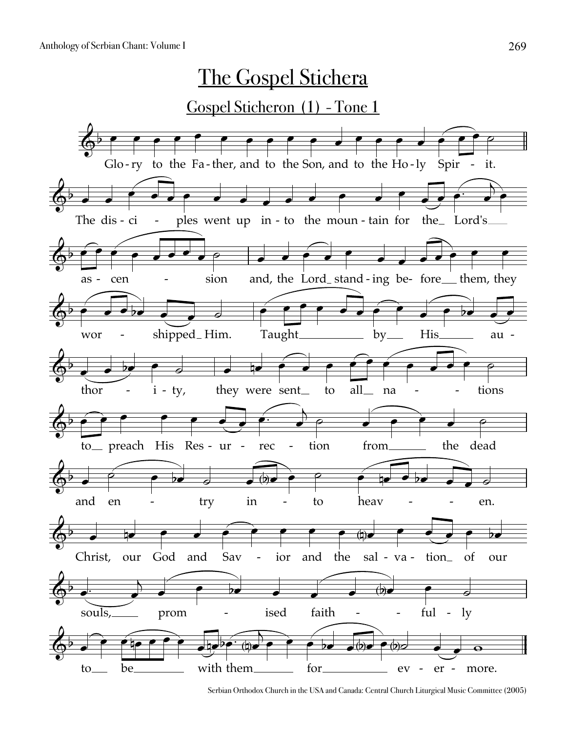

Serbian Orthodox Church in the USA and Canada: Central Church Liturgical Music Committee (2005)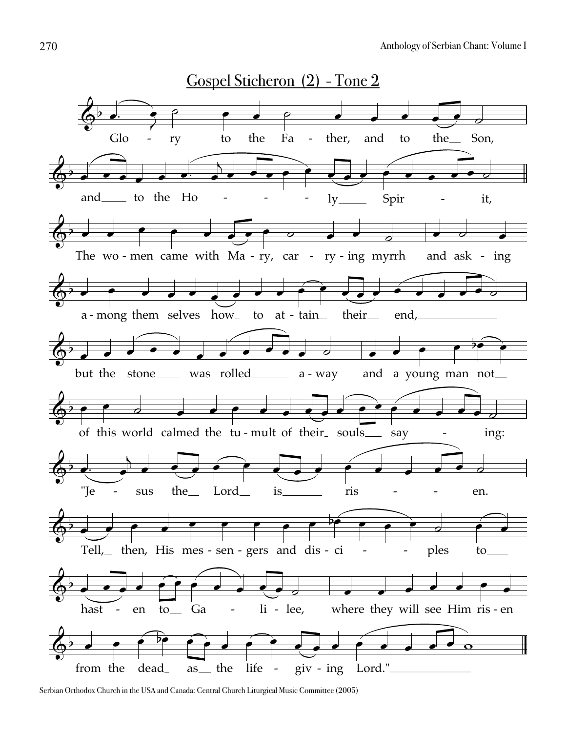

Serbian Orthodox Church in the USA and Canada: Central Church Liturgical Music Committee (2005)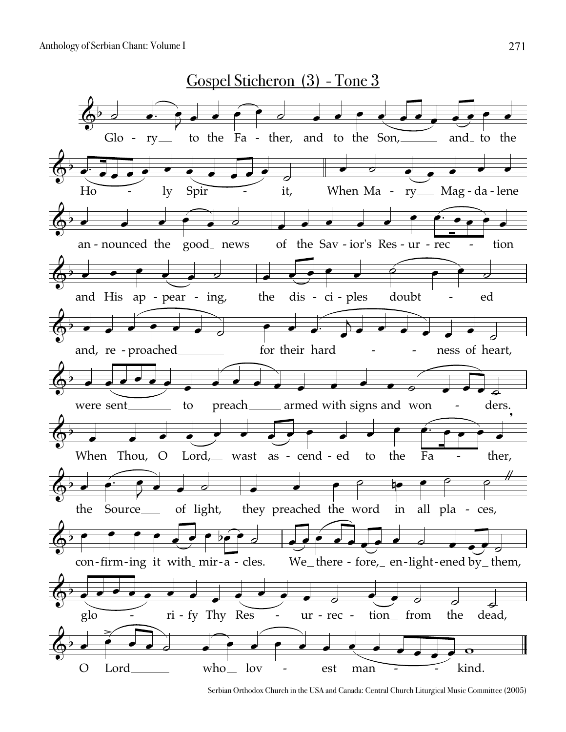

Serbian Orthodox Church in the USA and Canada: Central Church Liturgical Music Committee (2005)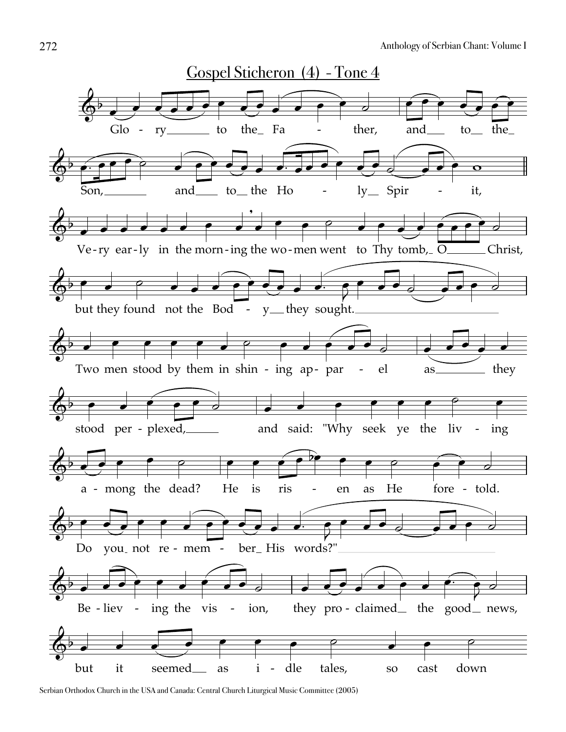

Serbian Orthodox Church in the USA and Canada: Central Church Liturgical Music Committee (2005)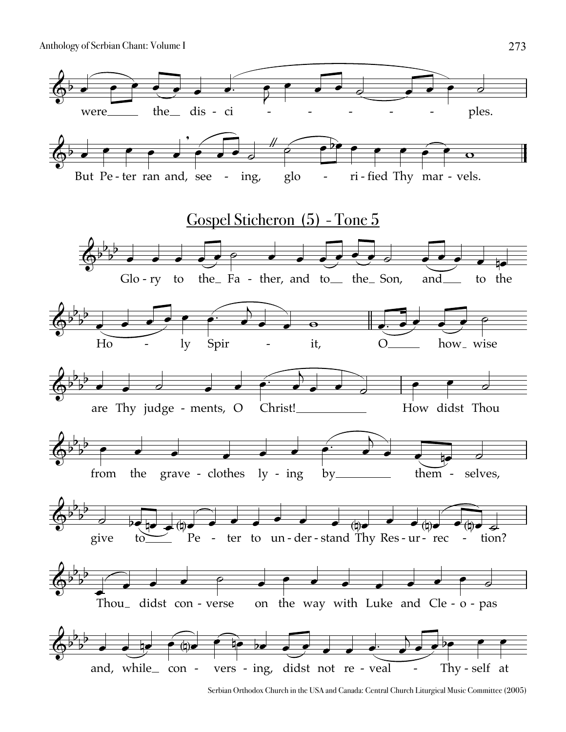

Serbian Orthodox Church in the USA and Canada: Central Church Liturgical Music Committee (2005)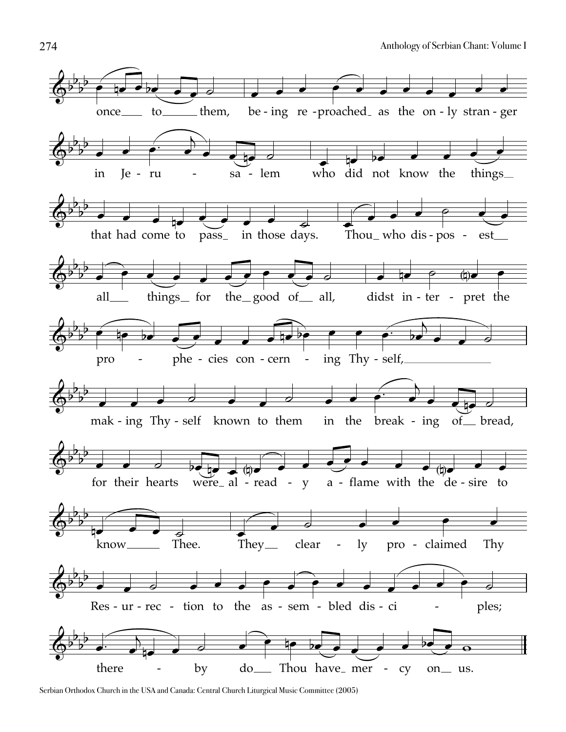

Serbian Orthodox Church in the USA and Canada: Central Church Liturgical Music Committee (2005)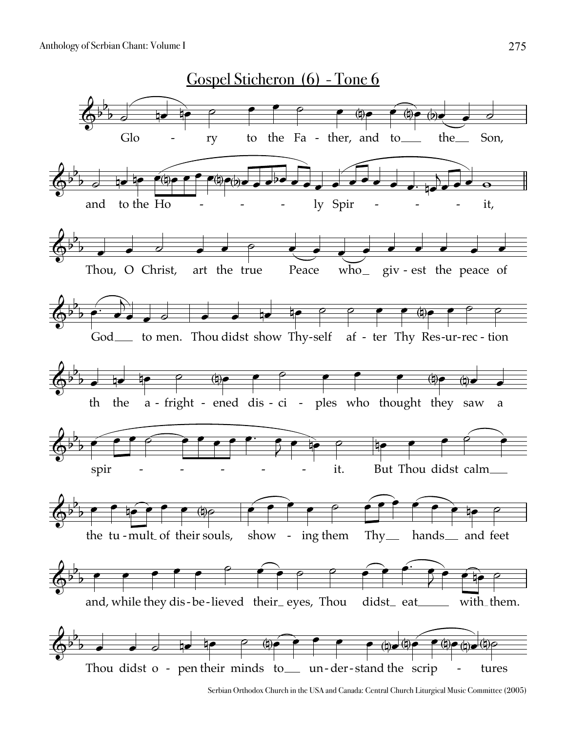

Serbian Orthodox Church in the USA and Canada: Central Church Liturgical Music Committee (2005)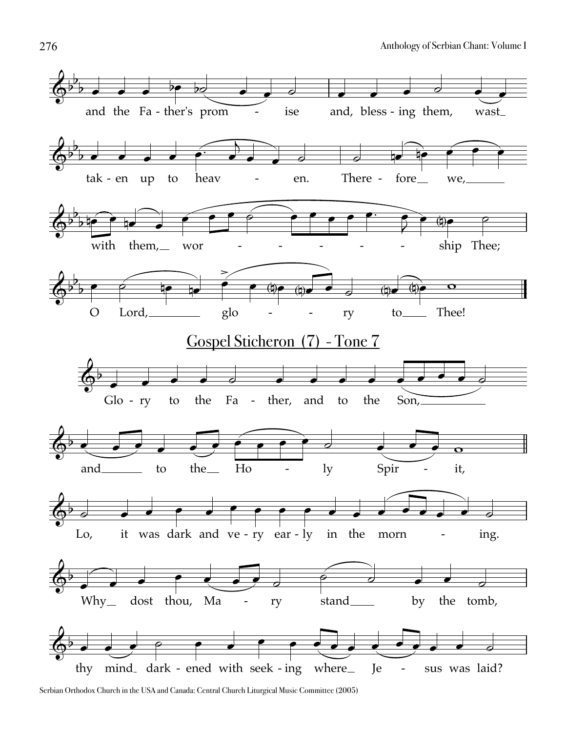

Serbian Orthodox Church in the USA and Canada: Central Church Liturgical Music Committee (2005)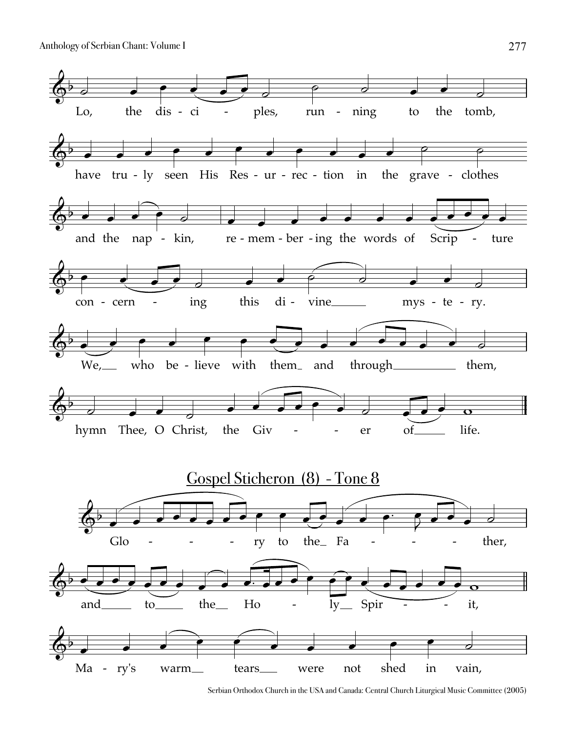

Serbian Orthodox Church in the USA and Canada: Central Church Liturgical Music Committee (2005)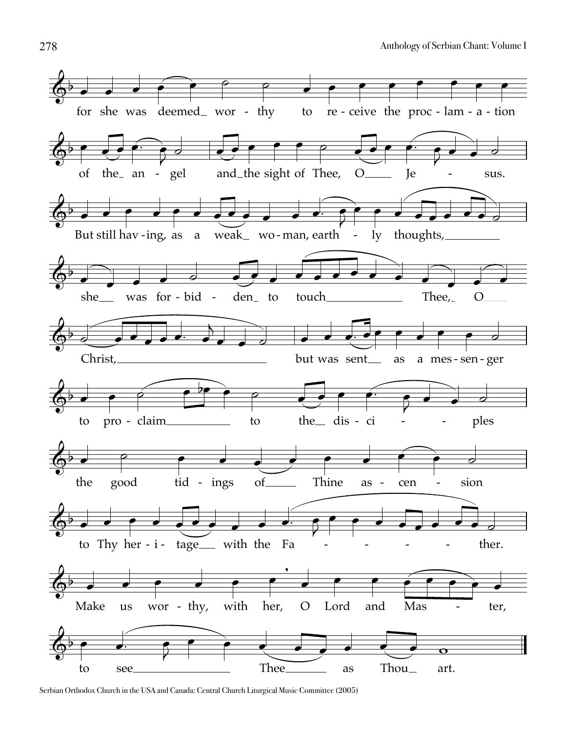

Serbian Orthodox Church in the USA and Canada: Central Church Liturgical Music Committee (2005)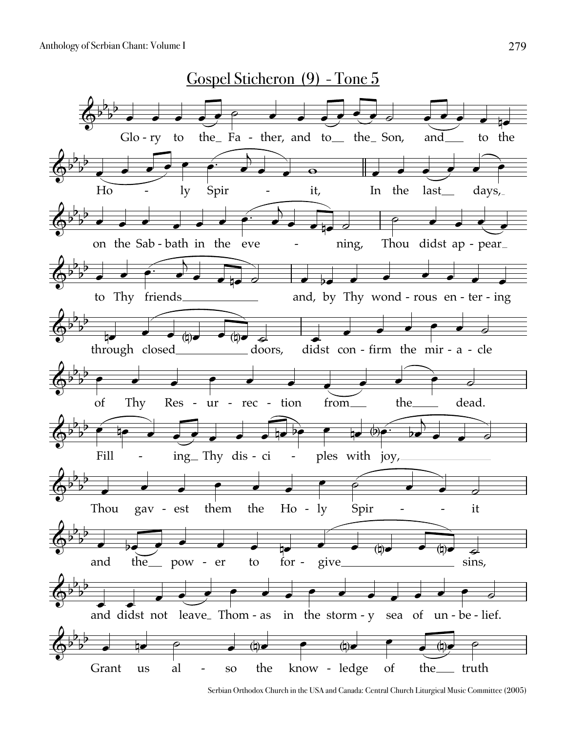

Serbian Orthodox Church in the USA and Canada: Central Church Liturgical Music Committee (2005)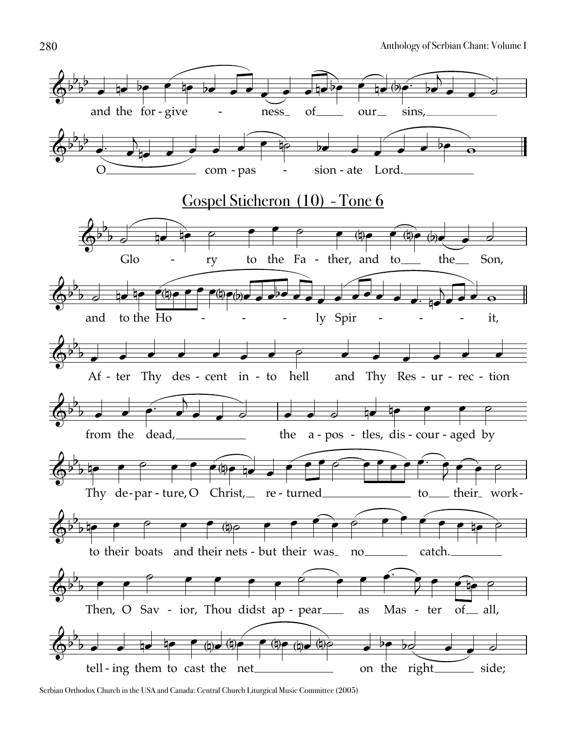

Serbian Orthodox Church in the USA and Canada: Central Church Liturgical Music Committee (2005)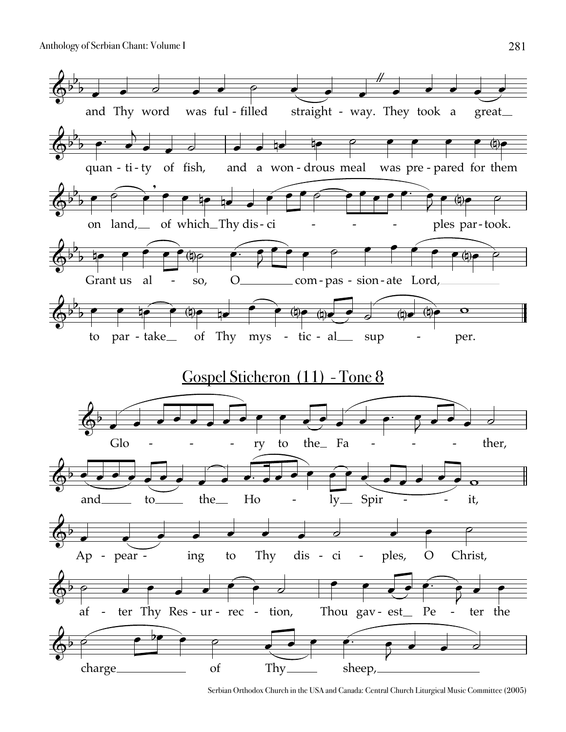

Serbian Orthodox Church in the USA and Canada: Central Church Liturgical Music Committee (2005)